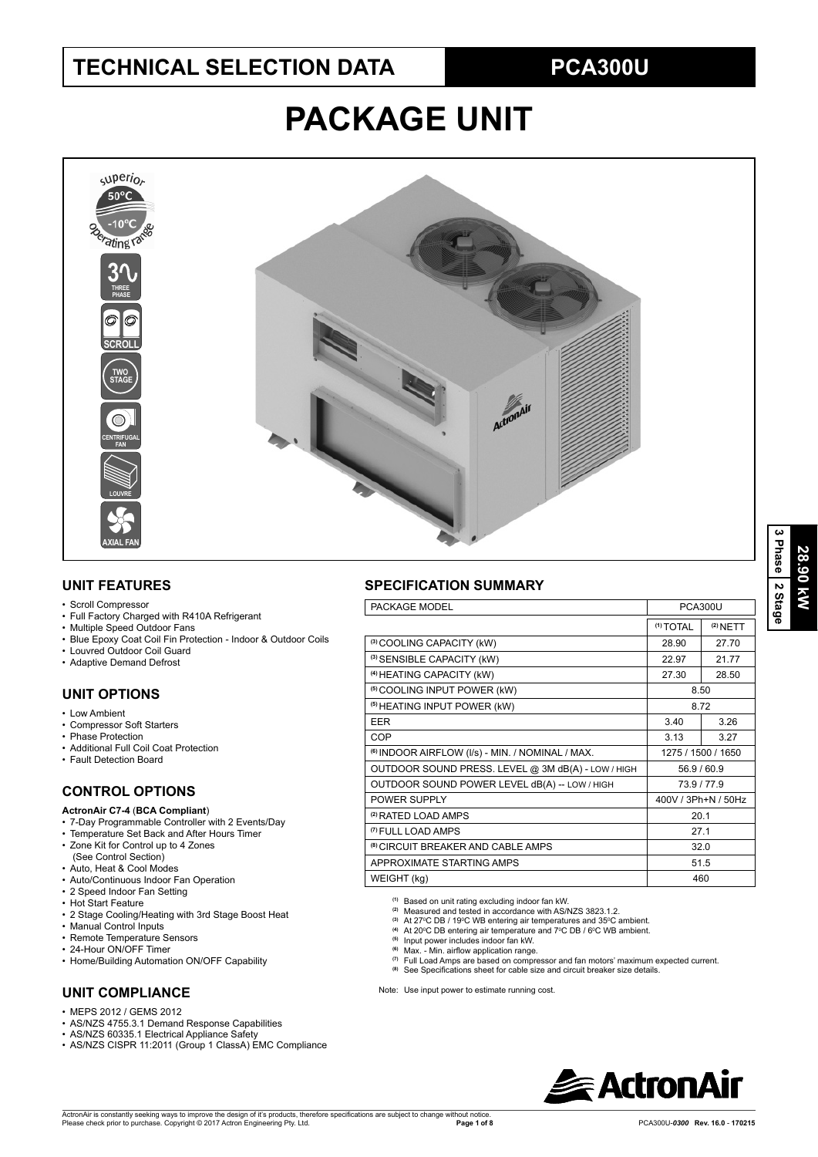# **TECHNICAL SELECTION DATA**

# **PCA300U**

# **PACKAGE UNIT**



## **UNIT FEATURES**

#### • Scroll Compressor

- Full Factory Charged with R410A Refrigerant
- Multiple Speed Outdoor Fans
- Blue Epoxy Coat Coil Fin Protection Indoor & Outdoor Coils
- Louvred Outdoor Coil Guard
- Adaptive Demand Defrost

## **UNIT OPTIONS**

- Low Ambient
- Compressor Soft Starters
- Phase Protection
- Additional Full Coil Coat Protection
- Fault Detection Board

## **CONTROL OPTIONS**

#### **ActronAir C7-4** (**BCA Compliant**)

- 7-Day Programmable Controller with 2 Events/Day
- Temperature Set Back and After Hours Timer
- Zone Kit for Control up to 4 Zones (See Control Section)
- Auto, Heat & Cool Modes
- Auto/Continuous Indoor Fan Operation
- 2 Speed Indoor Fan Setting
- Hot Start Feature
- 2 Stage Cooling/Heating with 3rd Stage Boost Heat
- Manual Control Inputs
- Remote Temperature Sensors
- 24-Hour ON/OFF Timer
- Home/Building Automation ON/OFF Capability

## **UNIT COMPLIANCE**

- $\cdot$  MEPS 2012 / GEMS 2012
- AS/NZS 4755.3.1 Demand Response Capabilities
- AS/NZS 60335.1 Electrical Appliance Safety
- AS/NZS CISPR 11:2011 (Group 1 ClassA) EMC Compliance

## **SPECIFICATION SUMMARY**

| PACKAGE MODEL                                               | <b>PCA300U</b>       |            |  |
|-------------------------------------------------------------|----------------------|------------|--|
|                                                             | <sup>(1)</sup> TOTAL | $(2)$ NETT |  |
| (3) COOLING CAPACITY (kW)                                   | 28.90                | 27.70      |  |
| (3) SENSIBLE CAPACITY (kW)                                  | 22.97                | 21.77      |  |
| <sup>(4)</sup> HEATING CAPACITY (kW)                        | 27.30                | 28.50      |  |
| <sup>(5)</sup> COOLING INPUT POWER (kW)                     | 8.50                 |            |  |
| <sup>(5)</sup> HEATING INPUT POWER (kW)                     | 8.72                 |            |  |
| <b>EER</b>                                                  | 3.40                 | 3.26       |  |
| COP                                                         | 3.13                 | 3.27       |  |
| <sup>(6)</sup> INDOOR AIRFLOW (I/s) - MIN. / NOMINAL / MAX. | 1275 / 1500 / 1650   |            |  |
| OUTDOOR SOUND PRESS. LEVEL @ 3M dB(A) - LOW / HIGH          | 56.9 / 60.9          |            |  |
| OUTDOOR SOUND POWER LEVEL dB(A) -- LOW / HIGH               | 73.9/77.9            |            |  |
| POWER SUPPLY                                                | 400V / 3Ph+N / 50Hz  |            |  |
| <sup>(2)</sup> RATED LOAD AMPS                              | 20.1                 |            |  |
| <sup>(7)</sup> FULL LOAD AMPS                               | 27.1                 |            |  |
| <sup>(8)</sup> CIRCUIT BREAKER AND CABLE AMPS               | 32.0                 |            |  |
| APPROXIMATE STARTING AMPS                                   | 51.5                 |            |  |
| WEIGHT (kg)                                                 | 460                  |            |  |

**(1)** Based on unit rating excluding indoor fan kW. **(2)** Measured and tested in accordance with AS/NZS 3823.1.2.

- 
- <sup>(3)</sup> At 27ºC DB / 19ºC WB entering air temperatures and 35ºC ambient.<br><sup>(4)</sup> At 20ºC DB entering air temperature and 7ºC DB / 6ºC WB ambient.<br><sup>(5)</sup> Input power includes indoor fan kW.
- 
- 
- <sup>(6)</sup> Max. Min. airflow application range.<br><sup>(7)</sup> Full Load Amps are based on compressor and fan motors' maximum expected current.
- <sup>(8)</sup> See Specifications sheet for cable size and circuit breaker size details.

Note: Use input power to estimate running cost.

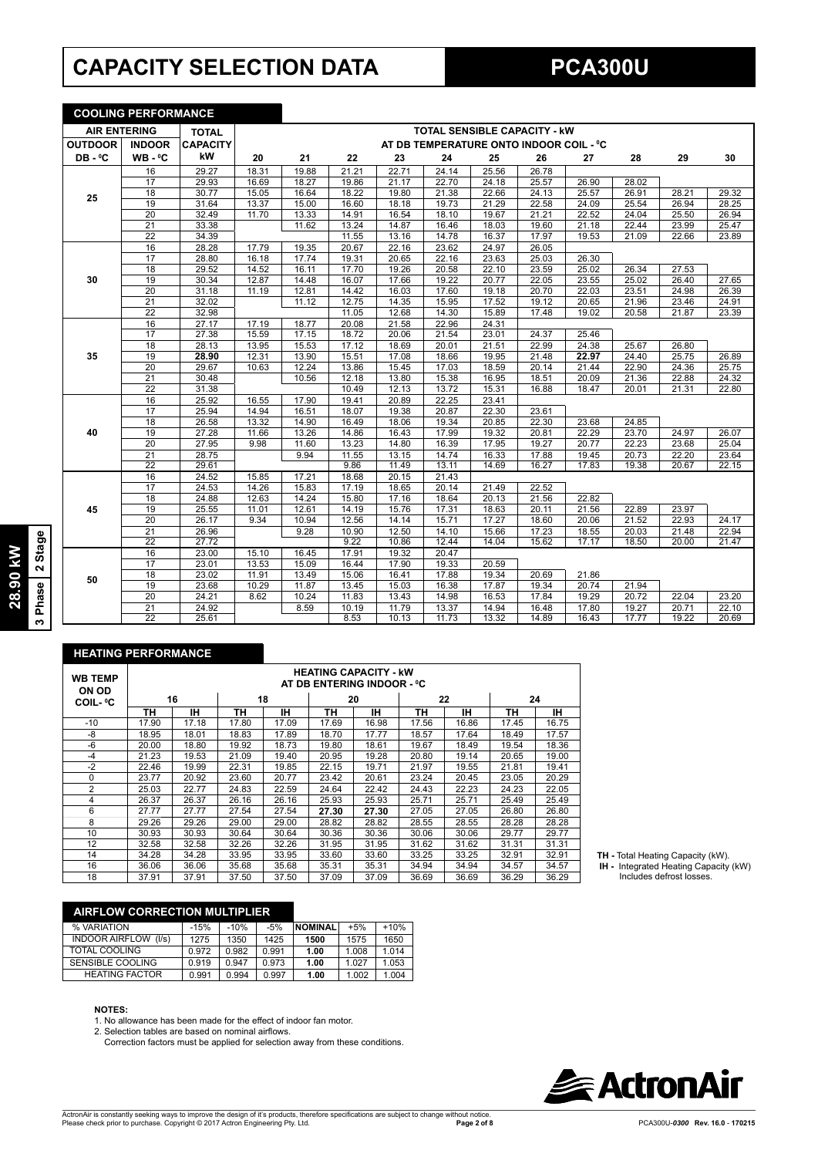# **CAPACITY SELECTION DATA**

|                                     | <b>COOLING PERFORMANCE</b> |                 |       |       |       |       |       |                                         |       |       |       |       |       |
|-------------------------------------|----------------------------|-----------------|-------|-------|-------|-------|-------|-----------------------------------------|-------|-------|-------|-------|-------|
| <b>AIR ENTERING</b><br><b>TOTAL</b> |                            |                 |       |       |       |       |       | <b>TOTAL SENSIBLE CAPACITY - KW</b>     |       |       |       |       |       |
| <b>OUTDOOR</b>                      | <b>INDOOR</b>              | <b>CAPACITY</b> |       |       |       |       |       | AT DB TEMPERATURE ONTO INDOOR COIL - °C |       |       |       |       |       |
| DB-°C                               | WB-°C                      | kW              | 20    | 21    | 22    | 23    | 24    | 25                                      | 26    | 27    | 28    | 29    | 30    |
|                                     | 16                         | 29.27           | 18.31 | 19.88 | 21.21 | 22.71 | 24.14 | 25.56                                   | 26.78 |       |       |       |       |
|                                     | 17                         | 29.93           | 16.69 | 18.27 | 19.86 | 21.17 | 22.70 | 24.18                                   | 25.57 | 26.90 | 28.02 |       |       |
| 25                                  | 18                         | 30.77           | 15.05 | 16.64 | 18.22 | 19.80 | 21.38 | 22.66                                   | 24.13 | 25.57 | 26.91 | 28.21 | 29.32 |
|                                     | 19                         | 31.64           | 13.37 | 15.00 | 16.60 | 18.18 | 19.73 | 21.29                                   | 22.58 | 24.09 | 25.54 | 26.94 | 28.25 |
|                                     | 20                         | 32.49           | 11.70 | 13.33 | 14.91 | 16.54 | 18.10 | 19.67                                   | 21.21 | 22.52 | 24.04 | 25.50 | 26.94 |
|                                     | $\overline{21}$            | 33.38           |       | 11.62 | 13.24 | 14.87 | 16.46 | 18.03                                   | 19.60 | 21.18 | 22.44 | 23.99 | 25.47 |
|                                     | $\overline{22}$            | 34.39           |       |       | 11.55 | 13.16 | 14.78 | 16.37                                   | 17.97 | 19.53 | 21.09 | 22.66 | 23.89 |
|                                     | 16                         | 28.28           | 17.79 | 19.35 | 20.67 | 22.16 | 23.62 | 24.97                                   | 26.05 |       |       |       |       |
|                                     | 17                         | 28.80           | 16.18 | 17.74 | 19.31 | 20.65 | 22.16 | 23.63                                   | 25.03 | 26.30 |       |       |       |
|                                     | 18                         | 29.52           | 14.52 | 16.11 | 17.70 | 19.26 | 20.58 | 22.10                                   | 23.59 | 25.02 | 26.34 | 27.53 |       |
| 30                                  | $\overline{19}$            | 30.34           | 12.87 | 14.48 | 16.07 | 17.66 | 19.22 | 20.77                                   | 22.05 | 23.55 | 25.02 | 26.40 | 27.65 |
|                                     | $\overline{20}$            | 31.18           | 11.19 | 12.81 | 14.42 | 16.03 | 17.60 | 19.18                                   | 20.70 | 22.03 | 23.51 | 24.98 | 26.39 |
|                                     | 21                         | 32.02           |       | 11.12 | 12.75 | 14.35 | 15.95 | 17.52                                   | 19.12 | 20.65 | 21.96 | 23.46 | 24.91 |
|                                     | $\overline{22}$            | 32.98           |       |       | 11.05 | 12.68 | 14.30 | 15.89                                   | 17.48 | 19.02 | 20.58 | 21.87 | 23.39 |
|                                     | 16                         | 27.17           | 17.19 | 18.77 | 20.08 | 21.58 | 22.96 | 24.31                                   |       |       |       |       |       |
|                                     | 17                         | 27.38           | 15.59 | 17.15 | 18.72 | 20.06 | 21.54 | 23.01                                   | 24.37 | 25.46 |       |       |       |
|                                     | $\overline{18}$            | 28.13           | 13.95 | 15.53 | 17.12 | 18.69 | 20.01 | 21.51                                   | 22.99 | 24.38 | 25.67 | 26.80 |       |
| 35                                  | 19                         | 28.90           | 12.31 | 13.90 | 15.51 | 17.08 | 18.66 | 19.95                                   | 21.48 | 22.97 | 24.40 | 25.75 | 26.89 |
|                                     | 20                         | 29.67           | 10.63 | 12.24 | 13.86 | 15.45 | 17.03 | 18.59                                   | 20.14 | 21.44 | 22.90 | 24.36 | 25.75 |
|                                     | $\overline{21}$            | 30.48           |       | 10.56 | 12.18 | 13.80 | 15.38 | 16.95                                   | 18.51 | 20.09 | 21.36 | 22.88 | 24.32 |
|                                     | $\overline{22}$            | 31.38           |       |       | 10.49 | 12.13 | 13.72 | 15.31                                   | 16.88 | 18.47 | 20.01 | 21.31 | 22.80 |
|                                     | 16                         | 25.92           | 16.55 | 17.90 | 19.41 | 20.89 | 22.25 | 23.41                                   |       |       |       |       |       |
|                                     | $\overline{17}$            | 25.94           | 14.94 | 16.51 | 18.07 | 19.38 | 20.87 | 22.30                                   | 23.61 |       |       |       |       |
|                                     | 18                         | 26.58           | 13.32 | 14.90 | 16.49 | 18.06 | 19.34 | 20.85                                   | 22.30 | 23.68 | 24.85 |       |       |
| 40                                  | 19                         | 27.28           | 11.66 | 13.26 | 14.86 | 16.43 | 17.99 | 19.32                                   | 20.81 | 22.29 | 23.70 | 24.97 | 26.07 |
|                                     | $\overline{20}$            | 27.95           | 9.98  | 11.60 | 13.23 | 14.80 | 16.39 | 17.95                                   | 19.27 | 20.77 | 22.23 | 23.68 | 25.04 |
|                                     | 21                         | 28.75           |       | 9.94  | 11.55 | 13.15 | 14.74 | 16.33                                   | 17.88 | 19.45 | 20.73 | 22.20 | 23.64 |
|                                     | $\overline{22}$            | 29.61           |       |       | 9.86  | 11.49 | 13.11 | 14.69                                   | 16.27 | 17.83 | 19.38 | 20.67 | 22.15 |
|                                     | 16                         | 24.52           | 15.85 | 17.21 | 18.68 | 20.15 | 21.43 |                                         |       |       |       |       |       |
|                                     | 17                         | 24.53           | 14.26 | 15.83 | 17.19 | 18.65 | 20.14 | 21.49                                   | 22.52 |       |       |       |       |
|                                     | $\overline{18}$            | 24.88           | 12.63 | 14.24 | 15.80 | 17.16 | 18.64 | 20.13                                   | 21.56 | 22.82 |       |       |       |
| 45                                  | 19                         | 25.55           | 11.01 | 12.61 | 14.19 | 15.76 | 17.31 | 18.63                                   | 20.11 | 21.56 | 22.89 | 23.97 |       |
|                                     | 20                         | 26.17           | 9.34  | 10.94 | 12.56 | 14.14 | 15.71 | 17.27                                   | 18.60 | 20.06 | 21.52 | 22.93 | 24.17 |
|                                     | 21                         | 26.96           |       | 9.28  | 10.90 | 12.50 | 14.10 | 15.66                                   | 17.23 | 18.55 | 20.03 | 21.48 | 22.94 |
|                                     | $\overline{22}$            | 27.72           |       |       | 9.22  | 10.86 | 12.44 | 14.04                                   | 15.62 | 17.17 | 18.50 | 20.00 | 21.47 |
|                                     | 16                         | 23.00           | 15.10 | 16.45 | 17.91 | 19.32 | 20.47 |                                         |       |       |       |       |       |
|                                     | 17                         | 23.01           | 13.53 | 15.09 | 16.44 | 17.90 | 19.33 | 20.59                                   |       |       |       |       |       |
| 50                                  | 18                         | 23.02           | 11.91 | 13.49 | 15.06 | 16.41 | 17.88 | 19.34                                   | 20.69 | 21.86 |       |       |       |
|                                     | 19                         | 23.68           | 10.29 | 11.87 | 13.45 | 15.03 | 16.38 | 17.87                                   | 19.34 | 20.74 | 21.94 |       |       |
|                                     | 20                         | 24.21           | 8.62  | 10.24 | 11.83 | 13.43 | 14.98 | 16.53                                   | 17.84 | 19.29 | 20.72 | 22.04 | 23.20 |
|                                     | $\overline{21}$            | 24.92           |       | 8.59  | 10.19 | 11.79 | 13.37 | 14.94                                   | 16.48 | 17.80 | 19.27 | 20.71 | 22.10 |
|                                     | 22                         | 25.61           |       |       | 8.53  | 10.13 | 11.73 | 13.32                                   | 14.89 | 16.43 | 17.77 | 19.22 | 20.69 |

#### **HEATING PERFORMANCE**

| <b>WB TEMP</b><br>ON OD |       |       |       |       | <b>HEATING CAPACITY - kW</b><br>AT DB ENTERING INDOOR - °C |       |       |       |       |       |
|-------------------------|-------|-------|-------|-------|------------------------------------------------------------|-------|-------|-------|-------|-------|
| <b>COIL-</b> °C         |       | 16    |       | 18    |                                                            | 20    |       | 22    | 24    |       |
|                         | ΤН    | ıн    | TН    | ΙH    | ΤН                                                         | IН    | TН    | ١Н    | ΤН    | IΗ    |
| $-10$                   | 17.90 | 17.18 | 17.80 | 17.09 | 17.69                                                      | 16.98 | 17.56 | 16.86 | 17.45 | 16.75 |
| -8                      | 18.95 | 18.01 | 18.83 | 17.89 | 18.70                                                      | 17.77 | 18.57 | 17.64 | 18.49 | 17.57 |
| -6                      | 20.00 | 18.80 | 19.92 | 18.73 | 19.80                                                      | 18.61 | 19.67 | 18.49 | 19.54 | 18.36 |
| $-4$                    | 21.23 | 19.53 | 21.09 | 19.40 | 20.95                                                      | 19.28 | 20.80 | 19.14 | 20.65 | 19.00 |
| $-2$                    | 22.46 | 19.99 | 22.31 | 19.85 | 22.15                                                      | 19.71 | 21.97 | 19.55 | 21.81 | 19.41 |
| 0                       | 23.77 | 20.92 | 23.60 | 20.77 | 23.42                                                      | 20.61 | 23.24 | 20.45 | 23.05 | 20.29 |
| $\overline{2}$          | 25.03 | 22.77 | 24.83 | 22.59 | 24.64                                                      | 22.42 | 24.43 | 22.23 | 24.23 | 22.05 |
| 4                       | 26.37 | 26.37 | 26.16 | 26.16 | 25.93                                                      | 25.93 | 25.71 | 25.71 | 25.49 | 25.49 |
| 6                       | 27.77 | 27.77 | 27.54 | 27.54 | 27.30                                                      | 27.30 | 27.05 | 27.05 | 26.80 | 26.80 |
| 8                       | 29.26 | 29.26 | 29.00 | 29.00 | 28.82                                                      | 28.82 | 28.55 | 28.55 | 28.28 | 28.28 |
| 10                      | 30.93 | 30.93 | 30.64 | 30.64 | 30.36                                                      | 30.36 | 30.06 | 30.06 | 29.77 | 29.77 |
| 12                      | 32.58 | 32.58 | 32.26 | 32.26 | 31.95                                                      | 31.95 | 31.62 | 31.62 | 31.31 | 31.31 |
| 14                      | 34.28 | 34.28 | 33.95 | 33.95 | 33.60                                                      | 33.60 | 33.25 | 33.25 | 32.91 | 32.91 |
| 16                      | 36.06 | 36.06 | 35.68 | 35.68 | 35.31                                                      | 35.31 | 34.94 | 34.94 | 34.57 | 34.57 |
| 18                      | 37.91 | 37.91 | 37.50 | 37.50 | 37.09                                                      | 37.09 | 36.69 | 36.69 | 36.29 | 36.29 |

**TH -** Total Heating Capacity (kW).

 **IH -** Integrated Heating Capacity (kW) Includes defrost losses.

## **AIRFLOW CORRECTION MULTIPLIER**

| % VARIATION                    | $-15%$ | $-10%$ | $-5%$ | <b>NOMINAL</b> | $+5%$ | $+10%$ |
|--------------------------------|--------|--------|-------|----------------|-------|--------|
| <b>INDOOR AIRFLOW</b><br>(1/s) | 1275   | 1350   | 1425  | 1500           | 1575  | 1650   |
| TOTAL COOLING                  | 0.972  | 0.982  | 0.991 | 1.00           | 1.008 | 1.014  |
| SENSIBLE COOLING               | 0.919  | 0.947  | 0.973 | 1.00           | 1.027 | 1.053  |
| <b>HEATING FACTOR</b>          | 0.991  | 0.994  | 0.997 | 1.00           | 1.002 | 1.004  |
|                                |        |        |       |                |       |        |

#### **NOTES:**

1. No allowance has been made for the effect of indoor fan motor.<br>2. Selection tables are based on nominal airflows.

- - Correction factors must be applied for selection away from these conditions.



**28.90 kW 3 Phase 2 Stage**

28.90 RW<br>3 Phase 2 Stage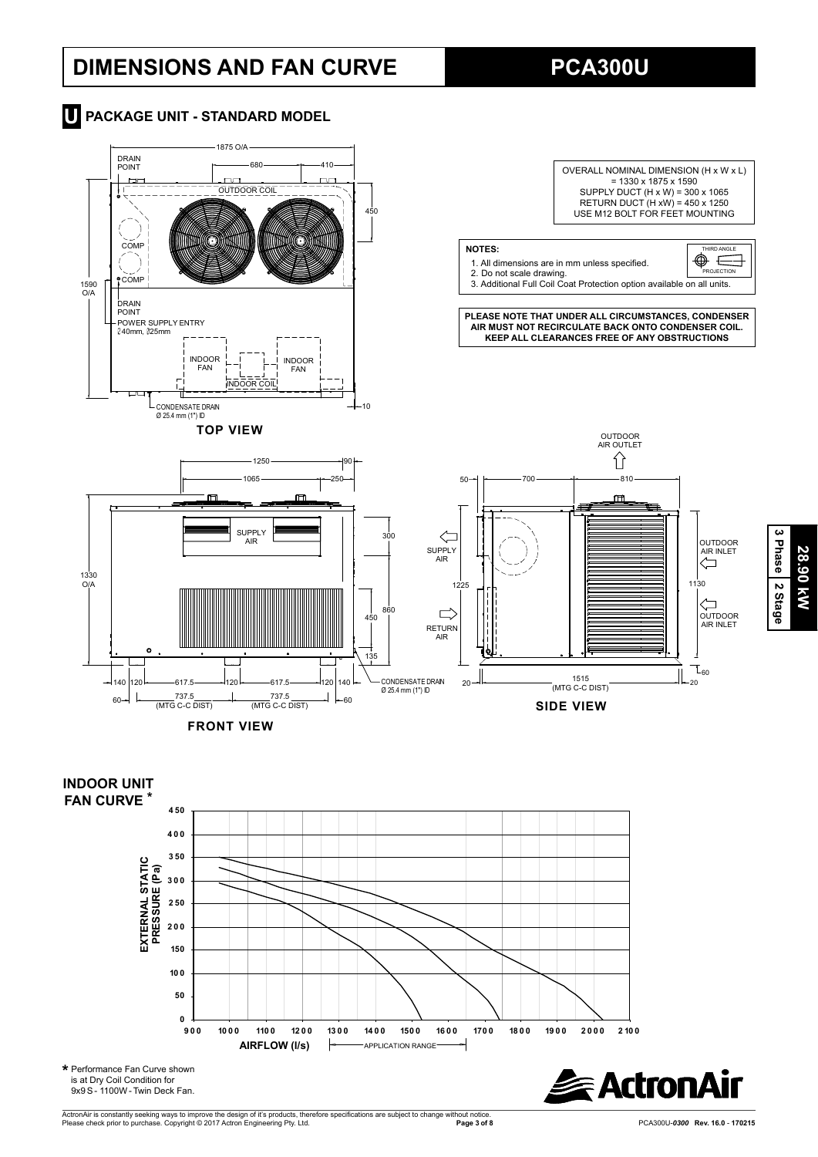# **DIMENSIONS AND FAN CURVE**

**PCA300U**









ActronAir is constantly seeking ways to improve the design of it's products, therefore specifications are subject to change without notice.<br>Please check prior to purchase. Copyright © 2017 Actron Engineering Pty. Ltd.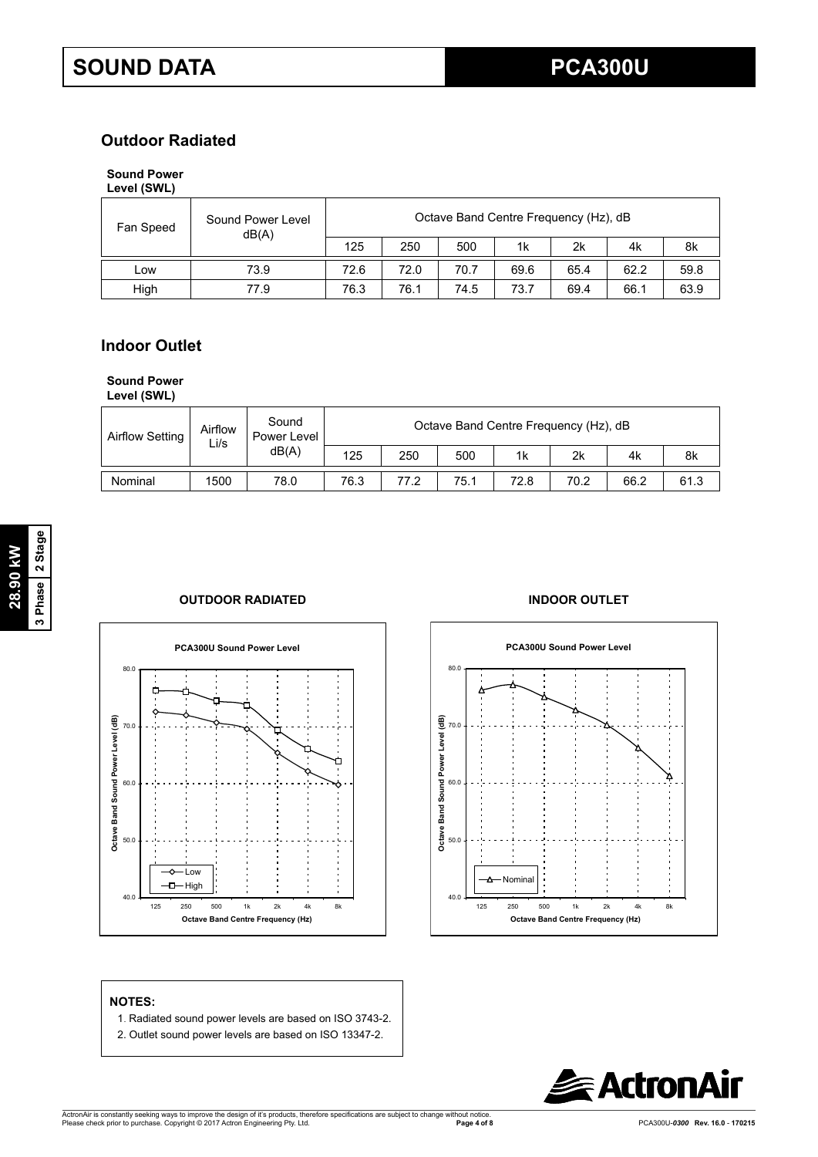## **Outdoor Radiated**

## **Sound Power**

| Level (SWL) |  |
|-------------|--|
|-------------|--|

| Fan Speed | Sound Power Level<br>dB(A) | Octave Band Centre Frequency (Hz), dB |      |      |      |      |      |      |  |
|-----------|----------------------------|---------------------------------------|------|------|------|------|------|------|--|
|           |                            | 125                                   | 250  | 500  | 1k   | 2k   | 4k   | 8k   |  |
| LOW       | 73.9                       | 72.6                                  | 72.0 | 70.7 | 69.6 | 65.4 | 62.2 | 59.8 |  |
| High      | 77.9                       | 76.3                                  | 76.1 | 74.5 | 73.7 | 69.4 | 66.1 | 63.9 |  |

## **Indoor Outlet**

## **Sound Power**

**Level (SWL)**

| Airflow Setting | Airflow<br>Li/s | Sound<br>Power Level | Octave Band Centre Frequency (Hz), dB |      |      |      |      |      |      |  |  |
|-----------------|-----------------|----------------------|---------------------------------------|------|------|------|------|------|------|--|--|
|                 |                 | dB(A)                | 125                                   | 250  | 500  | 1k   | 2k   | 4k   | 8k   |  |  |
| Nominal         | 1500            | 78.0                 | 76.3                                  | 77.2 | 75.1 | 72.8 | 70.2 | 66.2 | 61.3 |  |  |







## **NOTES:**

- 1. Radiated sound power levels are based on ISO 3743-2.
- 2. Outlet sound power levels are based on ISO 13347-2.

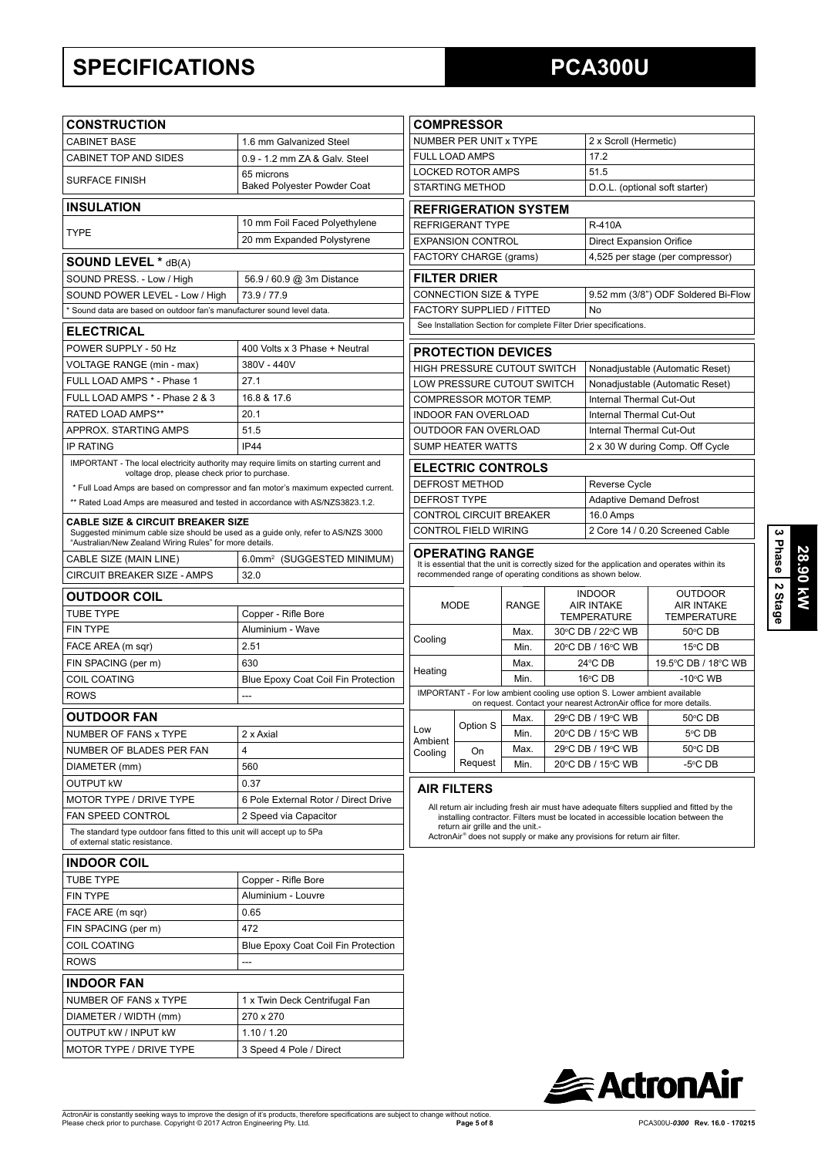# **SPECIFICATIONS**

# **PCA300U**

|                                                                                                                                              |                                                  |                                                                                                                                                                                                   | <b>COMPRESSOR</b>                                      |              |                                |                                                                                                                                                  |                                                                                              |  |
|----------------------------------------------------------------------------------------------------------------------------------------------|--------------------------------------------------|---------------------------------------------------------------------------------------------------------------------------------------------------------------------------------------------------|--------------------------------------------------------|--------------|--------------------------------|--------------------------------------------------------------------------------------------------------------------------------------------------|----------------------------------------------------------------------------------------------|--|
| <b>CONSTRUCTION</b>                                                                                                                          |                                                  |                                                                                                                                                                                                   |                                                        |              |                                |                                                                                                                                                  |                                                                                              |  |
| <b>CABINET BASE</b>                                                                                                                          | 1.6 mm Galvanized Steel                          | NUMBER PER UNIT x TYPE<br>2 x Scroll (Hermetic)<br>FULL LOAD AMPS<br>17.2                                                                                                                         |                                                        |              |                                |                                                                                                                                                  |                                                                                              |  |
| <b>CABINET TOP AND SIDES</b>                                                                                                                 | 0.9 - 1.2 mm ZA & Galv. Steel                    |                                                                                                                                                                                                   | <b>LOCKED ROTOR AMPS</b>                               |              |                                | 51.5                                                                                                                                             |                                                                                              |  |
| <b>SURFACE FINISH</b>                                                                                                                        | 65 microns<br><b>Baked Polyester Powder Coat</b> | <b>STARTING METHOD</b>                                                                                                                                                                            |                                                        |              | D.O.L. (optional soft starter) |                                                                                                                                                  |                                                                                              |  |
| <b>INSULATION</b>                                                                                                                            |                                                  |                                                                                                                                                                                                   |                                                        |              |                                |                                                                                                                                                  |                                                                                              |  |
|                                                                                                                                              | 10 mm Foil Faced Polyethylene                    |                                                                                                                                                                                                   | <b>REFRIGERATION SYSTEM</b><br><b>REFRIGERANT TYPE</b> |              |                                | <b>R-410A</b>                                                                                                                                    |                                                                                              |  |
| <b>TYPE</b>                                                                                                                                  | 20 mm Expanded Polystyrene                       |                                                                                                                                                                                                   | <b>EXPANSION CONTROL</b>                               |              |                                | <b>Direct Expansion Orifice</b>                                                                                                                  |                                                                                              |  |
| <b>SOUND LEVEL * dB(A)</b>                                                                                                                   |                                                  |                                                                                                                                                                                                   | FACTORY CHARGE (grams)                                 |              |                                |                                                                                                                                                  | 4,525 per stage (per compressor)                                                             |  |
| SOUND PRESS. - Low / High                                                                                                                    | 56.9 / 60.9 @ 3m Distance                        |                                                                                                                                                                                                   | <b>FILTER DRIER</b>                                    |              |                                |                                                                                                                                                  |                                                                                              |  |
| SOUND POWER LEVEL - Low / High                                                                                                               | 73.9 / 77.9                                      |                                                                                                                                                                                                   | CONNECTION SIZE & TYPE                                 |              |                                |                                                                                                                                                  | 9.52 mm (3/8") ODF Soldered Bi-Flow                                                          |  |
| * Sound data are based on outdoor fan's manufacturer sound level data.                                                                       |                                                  |                                                                                                                                                                                                   | FACTORY SUPPLIED / FITTED                              |              |                                | <b>No</b>                                                                                                                                        |                                                                                              |  |
|                                                                                                                                              |                                                  |                                                                                                                                                                                                   |                                                        |              |                                | See Installation Section for complete Filter Drier specifications.                                                                               |                                                                                              |  |
| <b>ELECTRICAL</b>                                                                                                                            |                                                  |                                                                                                                                                                                                   |                                                        |              |                                |                                                                                                                                                  |                                                                                              |  |
| POWER SUPPLY - 50 Hz                                                                                                                         | 400 Volts x 3 Phase + Neutral                    |                                                                                                                                                                                                   | <b>PROTECTION DEVICES</b>                              |              |                                |                                                                                                                                                  |                                                                                              |  |
| VOLTAGE RANGE (min - max)<br>FULL LOAD AMPS * - Phase 1                                                                                      | 380V - 440V                                      |                                                                                                                                                                                                   | <b>HIGH PRESSURE CUTOUT SWITCH</b>                     |              |                                |                                                                                                                                                  | Nonadjustable (Automatic Reset)                                                              |  |
|                                                                                                                                              | 27.1                                             |                                                                                                                                                                                                   | LOW PRESSURE CUTOUT SWITCH                             |              |                                |                                                                                                                                                  | Nonadjustable (Automatic Reset)                                                              |  |
| FULL LOAD AMPS * - Phase 2 & 3                                                                                                               | 16.8 & 17.6                                      |                                                                                                                                                                                                   | COMPRESSOR MOTOR TEMP.                                 |              |                                | Internal Thermal Cut-Out                                                                                                                         |                                                                                              |  |
| RATED LOAD AMPS**<br>APPROX. STARTING AMPS                                                                                                   | 20.1<br>51.5                                     |                                                                                                                                                                                                   | <b>INDOOR FAN OVERLOAD</b>                             |              |                                | Internal Thermal Cut-Out                                                                                                                         |                                                                                              |  |
| <b>IP RATING</b>                                                                                                                             | <b>IP44</b>                                      |                                                                                                                                                                                                   | OUTDOOR FAN OVERLOAD<br>SUMP HEATER WATTS              |              |                                | Internal Thermal Cut-Out                                                                                                                         | 2 x 30 W during Comp. Off Cycle                                                              |  |
| IMPORTANT - The local electricity authority may require limits on starting current and                                                       |                                                  |                                                                                                                                                                                                   |                                                        |              |                                |                                                                                                                                                  |                                                                                              |  |
| voltage drop, please check prior to purchase.                                                                                                |                                                  |                                                                                                                                                                                                   | <b>ELECTRIC CONTROLS</b>                               |              |                                |                                                                                                                                                  |                                                                                              |  |
| * Full Load Amps are based on compressor and fan motor's maximum expected current.                                                           |                                                  |                                                                                                                                                                                                   | <b>DEFROST METHOD</b>                                  |              |                                | Reverse Cycle                                                                                                                                    |                                                                                              |  |
| ** Rated Load Amps are measured and tested in accordance with AS/NZS3823.1.2.                                                                |                                                  | <b>DEFROST TYPE</b>                                                                                                                                                                               |                                                        |              |                                | <b>Adaptive Demand Defrost</b>                                                                                                                   |                                                                                              |  |
| <b>CABLE SIZE &amp; CIRCUIT BREAKER SIZE</b>                                                                                                 |                                                  |                                                                                                                                                                                                   | CONTROL CIRCUIT BREAKER                                |              |                                | 16.0 Amps<br>2 Core 14 / 0.20 Screened Cable                                                                                                     |                                                                                              |  |
| Suggested minimum cable size should be used as a guide only, refer to AS/NZS 3000<br>"Australian/New Zealand Wiring Rules" for more details. |                                                  |                                                                                                                                                                                                   | <b>CONTROL FIELD WIRING</b>                            |              |                                |                                                                                                                                                  |                                                                                              |  |
| CABLE SIZE (MAIN LINE)                                                                                                                       | 6.0mm <sup>2</sup> (SUGGESTED MINIMUM)           |                                                                                                                                                                                                   | OPERATING RANGE                                        |              |                                |                                                                                                                                                  |                                                                                              |  |
| CIRCUIT BREAKER SIZE - AMPS                                                                                                                  | 32.0                                             |                                                                                                                                                                                                   |                                                        |              |                                | recommended range of operating conditions as shown below.                                                                                        | It is essential that the unit is correctly sized for the application and operates within its |  |
| <b>OUTDOOR COIL</b>                                                                                                                          |                                                  |                                                                                                                                                                                                   |                                                        |              |                                | <b>INDOOR</b>                                                                                                                                    | <b>OUTDOOR</b>                                                                               |  |
| <b>TUBE TYPE</b>                                                                                                                             | Copper - Rifle Bore                              | <b>MODE</b>                                                                                                                                                                                       |                                                        | <b>RANGE</b> |                                | <b>AIR INTAKE</b><br><b>TEMPERATURE</b>                                                                                                          | <b>AIR INTAKE</b><br><b>TEMPERATURE</b>                                                      |  |
| <b>FIN TYPE</b>                                                                                                                              | Aluminium - Wave                                 |                                                                                                                                                                                                   |                                                        | Max.         | 30°C DB / 22°C WB              |                                                                                                                                                  | 50°C DB                                                                                      |  |
| FACE AREA (m sqr)                                                                                                                            | 2.51                                             | Cooling                                                                                                                                                                                           |                                                        | Min.         |                                | 20°C DB / 16°C WB                                                                                                                                | 15°C DB                                                                                      |  |
| FIN SPACING (per m)                                                                                                                          | 630                                              |                                                                                                                                                                                                   |                                                        | Max.         | 24°C DB                        |                                                                                                                                                  | 19.5°C DB / 18°C WB                                                                          |  |
| COIL COATING                                                                                                                                 | Blue Epoxy Coat Coil Fin Protection              | Heating                                                                                                                                                                                           |                                                        | Min.         |                                | 16°C DB                                                                                                                                          | $-10^{\circ}$ C WB                                                                           |  |
| <b>ROWS</b>                                                                                                                                  | ---                                              |                                                                                                                                                                                                   |                                                        |              |                                | IMPORTANT - For low ambient cooling use option S. Lower ambient available<br>on request. Contact your nearest ActronAir office for more details. |                                                                                              |  |
| <b>OUTDOOR FAN</b>                                                                                                                           |                                                  |                                                                                                                                                                                                   |                                                        | Max.         |                                | 29°C DB / 19°C WB                                                                                                                                | 50°C DB                                                                                      |  |
| NUMBER OF FANS x TYPE                                                                                                                        | 2 x Axial                                        | LOW                                                                                                                                                                                               | Option S                                               | Min.         |                                | 20°C DB / 15°C WB                                                                                                                                | 5°C DB                                                                                       |  |
| NUMBER OF BLADES PER FAN                                                                                                                     | 4                                                | Ambient<br>Cooling                                                                                                                                                                                | On                                                     | Max.         |                                | 29°C DB / 19°C WB                                                                                                                                | 50°C DB                                                                                      |  |
| DIAMETER (mm)                                                                                                                                | 560                                              |                                                                                                                                                                                                   | Request                                                | Min.         |                                | 20°C DB / 15°C WB                                                                                                                                | -5°C DB                                                                                      |  |
| <b>OUTPUT KW</b>                                                                                                                             | 0.37                                             |                                                                                                                                                                                                   |                                                        |              |                                |                                                                                                                                                  |                                                                                              |  |
| <b>MOTOR TYPE / DRIVE TYPE</b>                                                                                                               | 6 Pole External Rotor / Direct Drive             |                                                                                                                                                                                                   | <b>AIR FILTERS</b>                                     |              |                                |                                                                                                                                                  |                                                                                              |  |
| FAN SPEED CONTROL                                                                                                                            | 2 Speed via Capacitor                            |                                                                                                                                                                                                   |                                                        |              |                                |                                                                                                                                                  | All return air including fresh air must have adequate filters supplied and fitted by the     |  |
| The standard type outdoor fans fitted to this unit will accept up to 5Pa                                                                     |                                                  | installing contractor. Filters must be located in accessible location between the<br>return air grille and the unit.-<br>ActronAir® does not supply or make any provisions for return air filter. |                                                        |              |                                |                                                                                                                                                  |                                                                                              |  |
| of external static resistance.                                                                                                               |                                                  |                                                                                                                                                                                                   |                                                        |              |                                |                                                                                                                                                  |                                                                                              |  |
| <b>INDOOR COIL</b>                                                                                                                           |                                                  |                                                                                                                                                                                                   |                                                        |              |                                |                                                                                                                                                  |                                                                                              |  |
| <b>TUBE TYPE</b>                                                                                                                             | Copper - Rifle Bore                              |                                                                                                                                                                                                   |                                                        |              |                                |                                                                                                                                                  |                                                                                              |  |
| <b>FIN TYPE</b>                                                                                                                              | Aluminium - Louvre                               |                                                                                                                                                                                                   |                                                        |              |                                |                                                                                                                                                  |                                                                                              |  |
| FACE ARE (m sqr)                                                                                                                             | 0.65                                             |                                                                                                                                                                                                   |                                                        |              |                                |                                                                                                                                                  |                                                                                              |  |
| FIN SPACING (per m)                                                                                                                          | 472                                              |                                                                                                                                                                                                   |                                                        |              |                                |                                                                                                                                                  |                                                                                              |  |
| COIL COATING                                                                                                                                 | Blue Epoxy Coat Coil Fin Protection              |                                                                                                                                                                                                   |                                                        |              |                                |                                                                                                                                                  |                                                                                              |  |
| <b>ROWS</b>                                                                                                                                  | ---                                              |                                                                                                                                                                                                   |                                                        |              |                                |                                                                                                                                                  |                                                                                              |  |
| <b>INDOOR FAN</b>                                                                                                                            |                                                  |                                                                                                                                                                                                   |                                                        |              |                                |                                                                                                                                                  |                                                                                              |  |
| NUMBER OF FANS x TYPE                                                                                                                        | 1 x Twin Deck Centrifugal Fan                    |                                                                                                                                                                                                   |                                                        |              |                                |                                                                                                                                                  |                                                                                              |  |
| DIAMETER / WIDTH (mm)                                                                                                                        | 270 x 270                                        |                                                                                                                                                                                                   |                                                        |              |                                |                                                                                                                                                  |                                                                                              |  |
| <b>OUTPUT KW / INPUT KW</b>                                                                                                                  | 1.10 / 1.20                                      |                                                                                                                                                                                                   |                                                        |              |                                |                                                                                                                                                  |                                                                                              |  |
| MOTOR TYPE / DRIVE TYPE                                                                                                                      | 3 Speed 4 Pole / Direct                          |                                                                                                                                                                                                   |                                                        |              |                                |                                                                                                                                                  |                                                                                              |  |

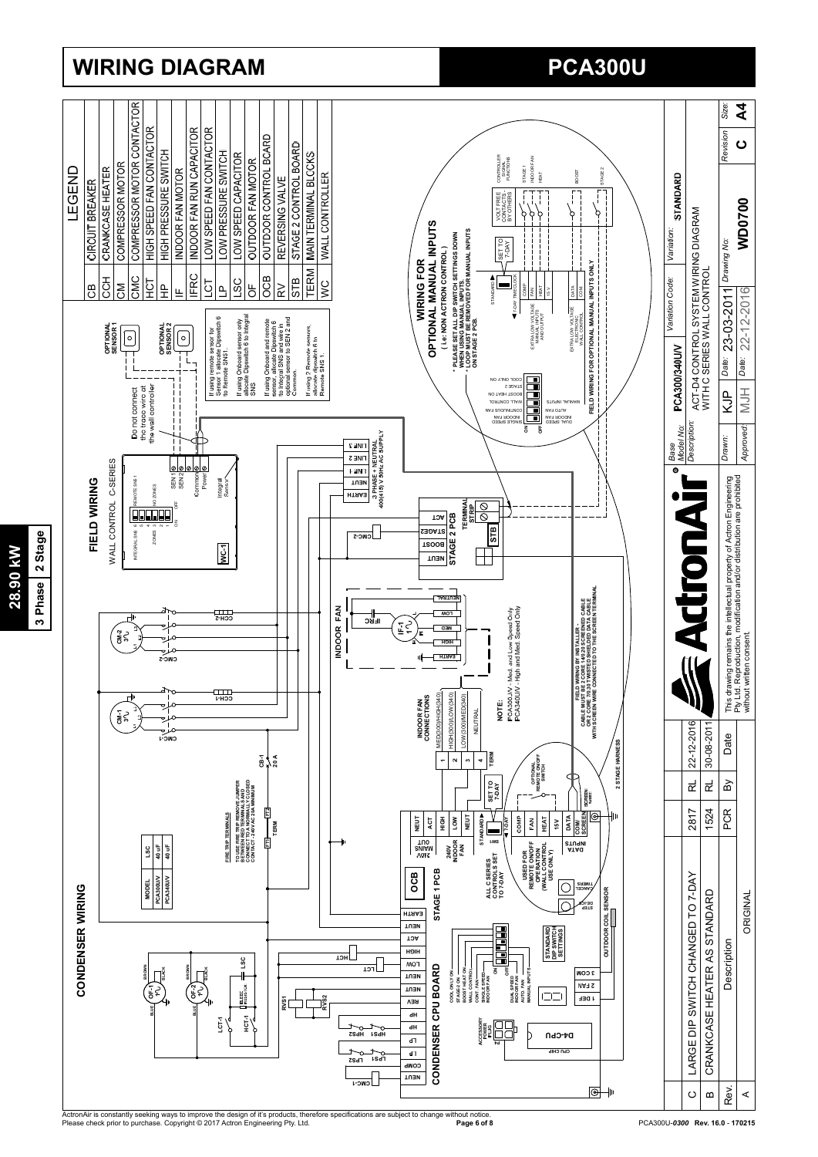

## **WIRING DIAGRAM**

# **PCA300U**

ActronAir is constantly seeking ways to improve the design of it's products, therefore specifications are subject to change without notice.<br>Please check prior to purchase. Copyright © 2017 Actron Engineering Pty. Ltd.

3 Phase 2 Stage **3 Phase 2 Stage** 28.90 kW **28.90 kW**